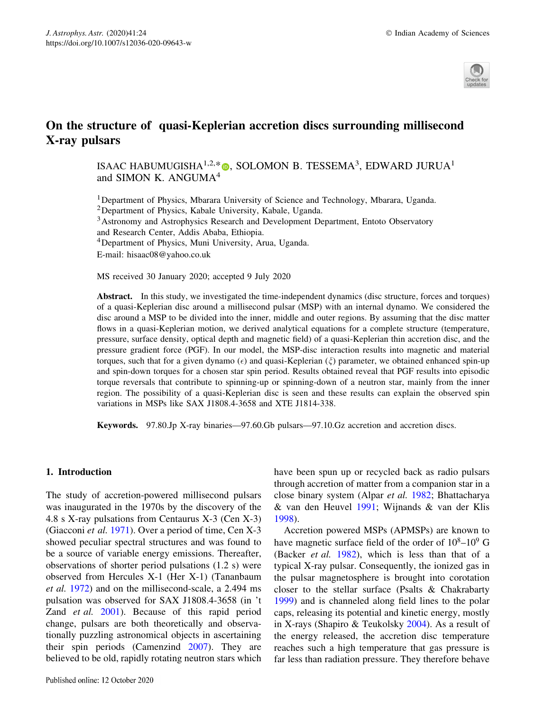

# On the structure of quasi-Keplerian accretion discs surrounding millisecond X-ray pulsars

ISAAC HABUMUGISHA $^{1,2,\ast}$  (), SOLOMON B. TESSEMA $^3$ , EDWARD JURUA $^1$ and SIMON K. ANGUMA<sup>4</sup>

1Department of Physics, Mbarara University of Science and Technology, Mbarara, Uganda. 2Department of Physics, Kabale University, Kabale, Uganda. 3Astronomy and Astrophysics Research and Development Department, Entoto Observatory and Research Center, Addis Ababa, Ethiopia. 4Department of Physics, Muni University, Arua, Uganda. E-mail: hisaac08@yahoo.co.uk

MS received 30 January 2020; accepted 9 July 2020

Abstract. In this study, we investigated the time-independent dynamics (disc structure, forces and torques) of a quasi-Keplerian disc around a millisecond pulsar (MSP) with an internal dynamo. We considered the disc around a MSP to be divided into the inner, middle and outer regions. By assuming that the disc matter flows in a quasi-Keplerian motion, we derived analytical equations for a complete structure (temperature, pressure, surface density, optical depth and magnetic field) of a quasi-Keplerian thin accretion disc, and the pressure gradient force (PGF). In our model, the MSP-disc interaction results into magnetic and material torques, such that for a given dynamo ( $\epsilon$ ) and quasi-Keplerian ( $\xi$ ) parameter, we obtained enhanced spin-up and spin-down torques for a chosen star spin period. Results obtained reveal that PGF results into episodic torque reversals that contribute to spinning-up or spinning-down of a neutron star, mainly from the inner region. The possibility of a quasi-Keplerian disc is seen and these results can explain the observed spin variations in MSPs like SAX J1808.4-3658 and XTE J1814-338.

Keywords. 97.80.Jp X-ray binaries—97.60.Gb pulsars—97.10.Gz accretion and accretion discs.

## 1. Introduction

The study of accretion-powered millisecond pulsars was inaugurated in the 1970s by the discovery of the 4.8 s X-ray pulsations from Centaurus X-3 (Cen X-3) (Giacconi et al. [1971](#page-13-0)). Over a period of time, Cen X-3 showed peculiar spectral structures and was found to be a source of variable energy emissions. Thereafter, observations of shorter period pulsations (1.2 s) were observed from Hercules X-1 (Her X-1) (Tananbaum et al. [1972](#page-13-0)) and on the millisecond-scale, a 2.494 ms pulsation was observed for SAX J1808.4-3658 (in 't Zand et al. [2001\)](#page-13-0). Because of this rapid period change, pulsars are both theoretically and observationally puzzling astronomical objects in ascertaining their spin periods (Camenzind [2007](#page-12-0)). They are believed to be old, rapidly rotating neutron stars which

have been spun up or recycled back as radio pulsars through accretion of matter from a companion star in a close binary system (Alpar et al. [1982](#page-12-0); Bhattacharya & van den Heuvel [1991](#page-12-0); Wijnands & van der Klis [1998\)](#page-13-0).

Accretion powered MSPs (APMSPs) are known to have magnetic surface field of the order of  $10^8$ – $10^9$  G (Backer et al. [1982](#page-12-0)), which is less than that of a typical X-ray pulsar. Consequently, the ionized gas in the pulsar magnetosphere is brought into corotation closer to the stellar surface (Psalts & Chakrabarty [1999\)](#page-13-0) and is channeled along field lines to the polar caps, releasing its potential and kinetic energy, mostly in X-rays (Shapiro & Teukolsky [2004](#page-13-0)). As a result of the energy released, the accretion disc temperature reaches such a high temperature that gas pressure is far less than radiation pressure. They therefore behave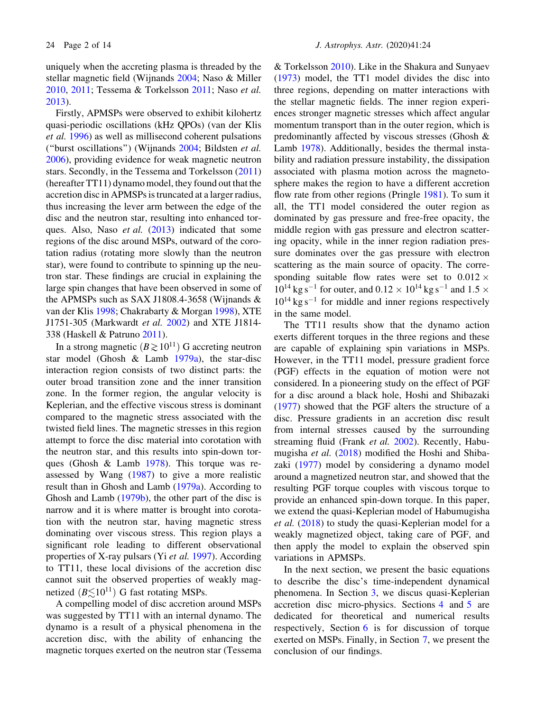uniquely when the accreting plasma is threaded by the stellar magnetic field (Wijnands [2004;](#page-13-0) Naso & Miller [2010,](#page-13-0) [2011;](#page-13-0) Tessema & Torkelsson [2011](#page-13-0); Naso et al. [2013\)](#page-13-0).

Firstly, APMSPs were observed to exhibit kilohertz quasi-periodic oscillations (kHz QPOs) (van der Klis et al. [1996\)](#page-13-0) as well as millisecond coherent pulsations (''burst oscillations'') (Wijnands [2004;](#page-13-0) Bildsten et al. [2006\)](#page-12-0), providing evidence for weak magnetic neutron stars. Secondly, in the Tessema and Torkelsson [\(2011\)](#page-13-0) (hereafter TT11) dynamo model, they found out that the accretion disc in APMSPs is truncated at a larger radius, thus increasing the lever arm between the edge of the disc and the neutron star, resulting into enhanced torques. Also, Naso *et al.*  $(2013)$  $(2013)$  indicated that some regions of the disc around MSPs, outward of the corotation radius (rotating more slowly than the neutron star), were found to contribute to spinning up the neutron star. These findings are crucial in explaining the large spin changes that have been observed in some of the APMSPs such as SAX J1808.4-3658 (Wijnands & van der Klis [1998](#page-13-0); Chakrabarty & Morgan [1998](#page-13-0)), XTE J1751-305 (Markwardt et al. [2002](#page-13-0)) and XTE J1814- 338 (Haskell & Patruno [2011](#page-13-0)).

In a strong magnetic  $(B \ge 10^{11})$  G accreting neutron star model (Ghosh & Lamb [1979a](#page-13-0)), the star-disc interaction region consists of two distinct parts: the outer broad transition zone and the inner transition zone. In the former region, the angular velocity is Keplerian, and the effective viscous stress is dominant compared to the magnetic stress associated with the twisted field lines. The magnetic stresses in this region attempt to force the disc material into corotation with the neutron star, and this results into spin-down torques (Ghosh & Lamb [1978](#page-13-0)). This torque was reassessed by Wang [\(1987](#page-13-0)) to give a more realistic result than in Ghosh and Lamb [\(1979a\)](#page-13-0). According to Ghosh and Lamb [\(1979b](#page-13-0)), the other part of the disc is narrow and it is where matter is brought into corotation with the neutron star, having magnetic stress dominating over viscous stress. This region plays a significant role leading to different observational properties of X-ray pulsars (Yi et al. [1997](#page-13-0)). According to TT11, these local divisions of the accretion disc cannot suit the observed properties of weakly magnetized  $(B \le 10^{11})$  G fast rotating MSPs.

A compelling model of disc accretion around MSPs was suggested by TT11 with an internal dynamo. The dynamo is a result of a physical phenomena in the accretion disc, with the ability of enhancing the magnetic torques exerted on the neutron star (Tessema

& Torkelsson [2010](#page-13-0)). Like in the Shakura and Sunyaev [\(1973](#page-13-0)) model, the TT1 model divides the disc into three regions, depending on matter interactions with the stellar magnetic fields. The inner region experiences stronger magnetic stresses which affect angular momentum transport than in the outer region, which is predominantly affected by viscous stresses (Ghosh & Lamb [1978](#page-13-0)). Additionally, besides the thermal instability and radiation pressure instability, the dissipation associated with plasma motion across the magnetosphere makes the region to have a different accretion flow rate from other regions (Pringle [1981](#page-13-0)). To sum it all, the TT1 model considered the outer region as dominated by gas pressure and free-free opacity, the middle region with gas pressure and electron scattering opacity, while in the inner region radiation pressure dominates over the gas pressure with electron scattering as the main source of opacity. The corresponding suitable flow rates were set to  $0.012 \times$  $10^{14}$  kg s<sup>-1</sup> for outer, and  $0.12 \times 10^{14}$  kg s<sup>-1</sup> and  $1.5 \times$  $10^{14}$  kg s<sup>-1</sup> for middle and inner regions respectively in the same model.

The TT11 results show that the dynamo action exerts different torques in the three regions and these are capable of explaining spin variations in MSPs. However, in the TT11 model, pressure gradient force (PGF) effects in the equation of motion were not considered. In a pioneering study on the effect of PGF for a disc around a black hole, Hoshi and Shibazaki [\(1977](#page-13-0)) showed that the PGF alters the structure of a disc. Pressure gradients in an accretion disc result from internal stresses caused by the surrounding streaming fluid (Frank et al. [2002\)](#page-13-0). Recently, Habumugisha et al. [\(2018](#page-13-0)) modified the Hoshi and Shibazaki ([1977\)](#page-13-0) model by considering a dynamo model around a magnetized neutron star, and showed that the resulting PGF torque couples with viscous torque to provide an enhanced spin-down torque. In this paper, we extend the quasi-Keplerian model of Habumugisha et al. ([2018](#page-13-0)) to study the quasi-Keplerian model for a weakly magnetized object, taking care of PGF, and then apply the model to explain the observed spin variations in APMSPs.

In the next section, we present the basic equations to describe the disc's time-independent dynamical phenomena. In Section [3](#page-3-0), we discus quasi-Keplerian accretion disc micro-physics. Sections [4](#page-4-0) and [5](#page-7-0) are dedicated for theoretical and numerical results respectively, Section [6](#page-9-0) is for discussion of torque exerted on MSPs. Finally, in Section [7](#page-12-0), we present the conclusion of our findings.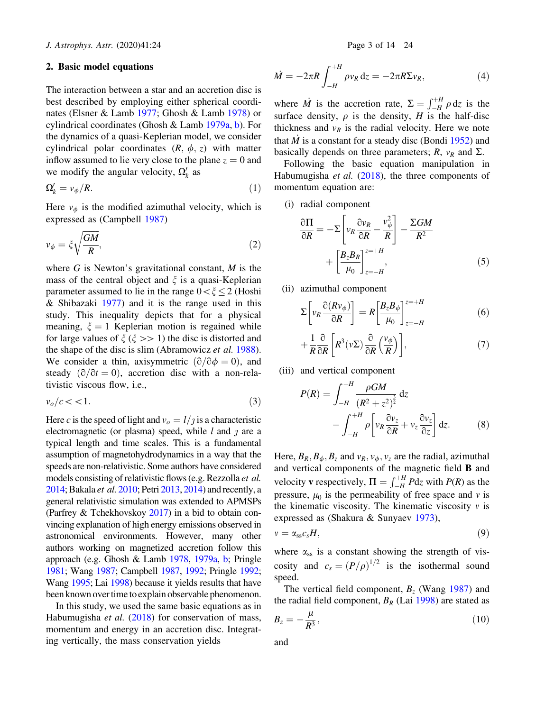## <span id="page-2-0"></span>2. Basic model equations

The interaction between a star and an accretion disc is best described by employing either spherical coordinates (Elsner & Lamb [1977](#page-13-0); Ghosh & Lamb [1978\)](#page-13-0) or cylindrical coordinates (Ghosh & Lamb [1979a](#page-13-0), [b](#page-13-0)). For the dynamics of a quasi-Keplerian model, we consider cylindrical polar coordinates  $(R, \phi, z)$  with matter inflow assumed to lie very close to the plane  $z = 0$  and we modify the angular velocity,  $\Omega'_k$  as

$$
\Omega'_{k} = \nu_{\phi}/R. \tag{1}
$$

Here  $v_{\phi}$  is the modified azimuthal velocity, which is expressed as (Campbell [1987\)](#page-13-0)

$$
v_{\phi} = \xi \sqrt{\frac{GM}{R}},\tag{2}
$$

where  $G$  is Newton's gravitational constant,  $M$  is the mass of the central object and  $\xi$  is a quasi-Keplerian parameter assumed to lie in the range  $0 \lt \zeta \leq 2$  (Hoshi & Shibazaki [1977\)](#page-13-0) and it is the range used in this study. This inequality depicts that for a physical meaning,  $\xi = 1$  Keplerian motion is regained while for large values of  $\xi$  ( $\xi >> 1$ ) the disc is distorted and the shape of the disc is slim (Abramowicz *et al.* [1988](#page-12-0)). We consider a thin, axisymmetric  $(\partial/\partial \phi = 0)$ , and steady  $(\partial/\partial t=0)$ , accretion disc with a non-relativistic viscous flow, i.e.,

$$
v_o/c < 1. \tag{3}
$$

Here c is the speed of light and  $v_o = l/j$  is a characteristic electromagnetic (or plasma) speed, while  $l$  and  $j$  are a typical length and time scales. This is a fundamental assumption of magnetohydrodynamics in a way that the speeds are non-relativistic. Some authors have considered models consisting of relativistic flows (e.g. Rezzolla *et al.*) [2014](#page-13-0); Bakala et al. [2010;](#page-12-0) Petri [2013,](#page-13-0) [2014](#page-13-0)) and recently, a general relativistic simulation was extended to APMSPs (Parfrey & Tchekhovskoy [2017](#page-13-0)) in a bid to obtain convincing explanation of high energy emissions observed in astronomical environments. However, many other authors working on magnetized accretion follow this approach (e.g. Ghosh & Lamb [1978](#page-13-0), [1979a,](#page-13-0) [b](#page-13-0); Pringle [1981](#page-13-0); Wang [1987](#page-13-0); Campbell [1987,](#page-13-0) [1992;](#page-13-0) Pringle [1992](#page-13-0); Wang [1995](#page-13-0); Lai [1998\)](#page-13-0) because it yields results that have been known over time to explain observable phenomenon.

In this study, we used the same basic equations as in Habumugisha et al. [\(2018](#page-13-0)) for conservation of mass, momentum and energy in an accretion disc. Integrating vertically, the mass conservation yields

$$
\dot{M} = -2\pi R \int_{-H}^{+H} \rho v_R \, \mathrm{d}z = -2\pi R \Sigma v_R,\tag{4}
$$

where  $\dot{M}$  is the accretion rate,  $\Sigma = \int_{-H}^{+H} \rho \, dz$  is the surface density,  $\rho$  is the density, H is the half-disc thickness and  $v_R$  is the radial velocity. Here we note that  $\dot{M}$  is a constant for a steady disc (Bondi [1952](#page-12-0)) and basically depends on three parameters;  $R$ ,  $v_R$  and  $\Sigma$ .

Following the basic equation manipulation in Habumugisha et al. ([2018\)](#page-13-0), the three components of momentum equation are:

(i) radial component

$$
\frac{\partial \Pi}{\partial R} = -\Sigma \left[ v_R \frac{\partial v_R}{\partial R} - \frac{v_\phi^2}{R} \right] - \frac{\Sigma GM}{R^2} + \left[ \frac{B_z B_R}{\mu_0} \right]_{z=-H}^{z=+H},\tag{5}
$$

(ii) azimuthal component

$$
\Sigma \left[ v_R \frac{\partial (R v_\phi)}{\partial R} \right] = R \left[ \frac{B_z B_\phi}{\mu_0} \right]_{z=-H}^{z=+H} \tag{6}
$$

$$
+\frac{1}{R}\frac{\partial}{\partial R}\left[R^3(\nu\Sigma)\frac{\partial}{\partial R}\left(\frac{\nu_{\phi}}{R}\right)\right],\tag{7}
$$

(iii) and vertical component

$$
P(R) = \int_{-H}^{+H} \frac{\rho GM}{(R^2 + z^2)^{\frac{3}{2}}} dz
$$

$$
- \int_{-H}^{+H} \rho \left[ v_R \frac{\partial v_z}{\partial R} + v_z \frac{\partial v_z}{\partial z} \right] dz.
$$
 (8)

Here,  $B_R$ ,  $B_{\phi}$ ,  $B_z$  and  $v_R$ ,  $v_{\phi}$ ,  $v_z$  are the radial, azimuthal and vertical components of the magnetic field B and velocity **v** respectively,  $\Pi = \int_{-H}^{+H} P \, dz$  with  $P(R)$  as the pressure,  $\mu_0$  is the permeability of free space and v is the kinematic viscosity. The kinematic viscosity  $\nu$  is expressed as (Shakura & Sunyaev [1973](#page-13-0)),

$$
v = \alpha_{ss} c_s H,\tag{9}
$$

where  $\alpha_{ss}$  is a constant showing the strength of viscosity and  $c_s = (P/\rho)^{1/2}$  is the isothermal sound speed.

The vertical field component,  $B_z$  (Wang [1987](#page-13-0)) and the radial field component,  $B_R$  (Lai [1998\)](#page-13-0) are stated as

$$
B_z = -\frac{\mu}{R^3},\tag{10}
$$

and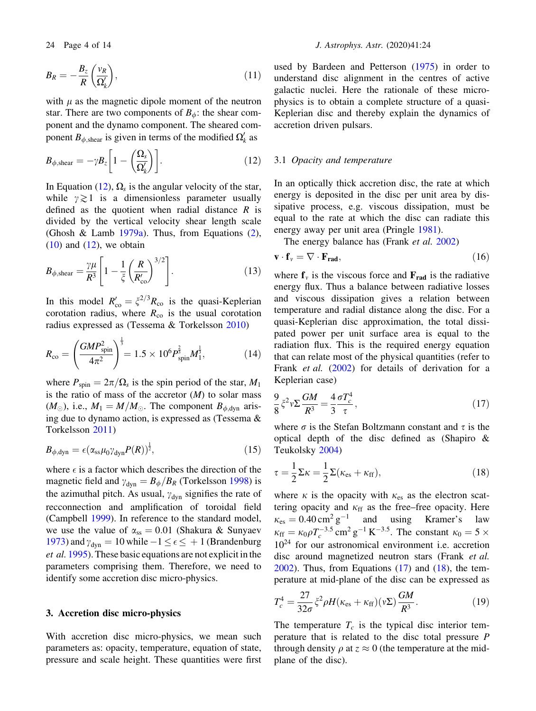<span id="page-3-0"></span>

$$
B_R = -\frac{B_z}{R} \left( \frac{v_R}{\Omega'_k} \right),\tag{11}
$$

with  $\mu$  as the magnetic dipole moment of the neutron star. There are two components of  $B_{\phi}$ : the shear component and the dynamo component. The sheared component  $B_{\phi, \text{shear}}$  is given in terms of the modified  $\Omega'_k$  as

$$
B_{\phi,\text{shear}} = -\gamma B_z \left[ 1 - \left( \frac{\Omega_s}{\Omega'_k} \right) \right]. \tag{12}
$$

In Equation (12),  $\Omega_s$  is the angular velocity of the star, while  $\gamma \gtrsim 1$  is a dimensionless parameter usually defined as the quotient when radial distance  $R$  is divided by the vertical velocity shear length scale (Ghosh & Lamb  $1979a$ ). Thus, from Equations ([2](#page-2-0)),  $(10)$  $(10)$  and  $(12)$ , we obtain

$$
B_{\phi,\text{shear}} = \frac{\gamma \mu}{R^3} \left[ 1 - \frac{1}{\xi} \left( \frac{R}{R'_{\text{co}}} \right)^{3/2} \right]. \tag{13}
$$

In this model  $R'_{\rm co} = \xi^{2/3} R_{\rm co}$  is the quasi-Keplerian corotation radius, where  $R_{\rm co}$  is the usual corotation radius expressed as (Tessema & Torkelsson [2010](#page-13-0))

$$
R_{\rm co} = \left(\frac{GMP_{\rm spin}^2}{4\pi^2}\right)^{\frac{1}{3}} = 1.5 \times 10^6 P_{\rm spin}^{\frac{2}{3}} M_1^{\frac{1}{3}},\tag{14}
$$

where  $P_{spin} = 2\pi/\Omega_s$  is the spin period of the star,  $M_1$ is the ratio of mass of the accretor  $(M)$  to solar mass  $(M_{\odot})$ , i.e.,  $M_1 = M/M_{\odot}$ . The component  $B_{\phi, dyn}$  arising due to dynamo action, is expressed as (Tessema & Torkelsson [2011](#page-13-0))

$$
B_{\phi, \text{dyn}} = \epsilon (\alpha_{\text{ss}} \mu_0 \gamma_{\text{dyn}} P(R))^{\frac{1}{2}}, \tag{15}
$$

where  $\epsilon$  is a factor which describes the direction of the magnetic field and  $\gamma_{\text{dyn}} = B_{\phi}/B_R$  (Torkelsson [1998\)](#page-13-0) is the azimuthal pitch. As usual,  $\gamma_{dyn}$  signifies the rate of recconnection and amplification of toroidal field (Campbell [1999\)](#page-13-0). In reference to the standard model, we use the value of  $\alpha_{ss} = 0.01$  (Shakura & Sunyaev [1973\)](#page-13-0) and  $\gamma_{dyn} = 10$  while  $-1 \le \epsilon \le +1$  (Brandenburg et al. [1995](#page-12-0)). These basic equations are not explicit in the parameters comprising them. Therefore, we need to identify some accretion disc micro-physics.

# 3. Accretion disc micro-physics

With accretion disc micro-physics, we mean such parameters as: opacity, temperature, equation of state, pressure and scale height. These quantities were first used by Bardeen and Petterson [\(1975](#page-12-0)) in order to understand disc alignment in the centres of active galactic nuclei. Here the rationale of these microphysics is to obtain a complete structure of a quasi-Keplerian disc and thereby explain the dynamics of accretion driven pulsars.

#### 3.1 Opacity and temperature

In an optically thick accretion disc, the rate at which energy is deposited in the disc per unit area by dissipative process, e.g. viscous dissipation, must be equal to the rate at which the disc can radiate this energy away per unit area (Pringle [1981](#page-13-0)).

The energy balance has (Frank *et al.* [2002\)](#page-13-0)

$$
\mathbf{v} \cdot \mathbf{f}_v = \nabla \cdot \mathbf{F}_{\text{rad}},\tag{16}
$$

where  $f_v$  is the viscous force and  $F_{rad}$  is the radiative energy flux. Thus a balance between radiative losses and viscous dissipation gives a relation between temperature and radial distance along the disc. For a quasi-Keplerian disc approximation, the total dissipated power per unit surface area is equal to the radiation flux. This is the required energy equation that can relate most of the physical quantities (refer to Frank et al. [\(2002\)](#page-13-0) for details of derivation for a Keplerian case)

$$
\frac{9}{8}\xi^2v\Sigma\frac{GM}{R^3} = \frac{4}{3}\frac{\sigma T_c^4}{\tau},\qquad(17)
$$

where  $\sigma$  is the Stefan Boltzmann constant and  $\tau$  is the optical depth of the disc defined as (Shapiro & Teukolsky [2004\)](#page-13-0)

$$
\tau = \frac{1}{2} \Sigma \kappa = \frac{1}{2} \Sigma (\kappa_{\rm es} + \kappa_{\rm ff}), \tag{18}
$$

where  $\kappa$  is the opacity with  $\kappa_{\rm es}$  as the electron scattering opacity and  $\kappa_{\text{ff}}$  as the free–free opacity. Here  $\kappa_{\rm es} = 0.40 \,\rm cm^2 \, g^{-1}$  and using Kramer's law  $\kappa_{\text{ff}} = \kappa_0 \rho T_c^{-3.5} \text{ cm}^2 \text{ g}^{-1} \text{ K}^{-3.5}$ . The constant  $\kappa_0 = 5 \times$  $10^{24}$  for our astronomical environment i.e. accretion disc around magnetized neutron stars (Frank et al.  $2002$ ). Thus, from Equations (17) and (18), the temperature at mid-plane of the disc can be expressed as

$$
T_c^4 = \frac{27}{32\sigma} \xi^2 \rho H(\kappa_{\rm es} + \kappa_{\rm ff})(v\Sigma) \frac{GM}{R^3}.
$$
 (19)

The temperature  $T_c$  is the typical disc interior temperature that is related to the disc total pressure P through density  $\rho$  at  $z \approx 0$  (the temperature at the midplane of the disc).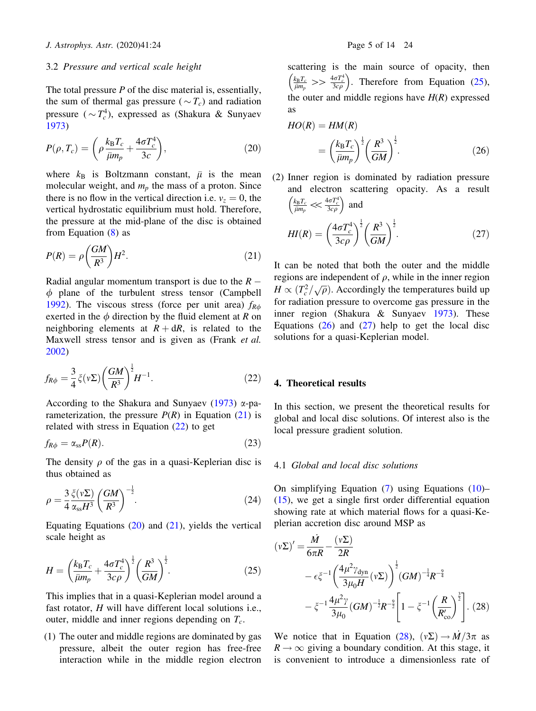#### <span id="page-4-0"></span>3.2 Pressure and vertical scale height

The total pressure  $P$  of the disc material is, essentially, the sum of thermal gas pressure ( $\sim T_c$ ) and radiation pressure ( $\sim T_c^4$ ), expressed as (Shakura & Sunyaev [1973\)](#page-13-0)

$$
P(\rho, T_c) = \left(\rho \frac{k_B T_c}{\bar{\mu} m_p} + \frac{4\sigma T_c^4}{3c}\right),\tag{20}
$$

where  $k_B$  is Boltzmann constant,  $\bar{\mu}$  is the mean molecular weight, and  $m_p$  the mass of a proton. Since there is no flow in the vertical direction i.e.  $v_z = 0$ , the vertical hydrostatic equilibrium must hold. Therefore, the pressure at the mid-plane of the disc is obtained from Equation ([8](#page-2-0)) as

$$
P(R) = \rho \left(\frac{GM}{R^3}\right) H^2. \tag{21}
$$

Radial angular momentum transport is due to the  $R \phi$  plane of the turbulent stress tensor (Campbell [1992\)](#page-13-0). The viscous stress (force per unit area)  $f_{R\phi}$ exerted in the  $\phi$  direction by the fluid element at R on neighboring elements at  $R + dR$ , is related to the Maxwell stress tensor and is given as (Frank et al. [2002\)](#page-13-0)

$$
f_{R\phi} = \frac{3}{4}\xi(\nu\Sigma)\left(\frac{GM}{R^3}\right)^{\frac{1}{2}}H^{-1}.
$$
 (22)

According to the Shakura and Sunyaev ([1973\)](#page-13-0)  $\alpha$ -parameterization, the pressure  $P(R)$  in Equation (21) is related with stress in Equation (22) to get

$$
f_{R\phi} = \alpha_{ss} P(R). \tag{23}
$$

The density  $\rho$  of the gas in a quasi-Keplerian disc is thus obtained as

$$
\rho = \frac{3}{4} \frac{\xi(\nu \Sigma)}{\alpha_{\rm ss} H^3} \left(\frac{GM}{R^3}\right)^{-\frac{1}{2}}.
$$
\n(24)

Equating Equations  $(20)$  and  $(21)$ , yields the vertical scale height as

$$
H = \left(\frac{k_{\rm B}T_c}{\bar{\mu}m_p} + \frac{4\sigma T_c^4}{3c\rho}\right)^{\frac{1}{2}} \left(\frac{R^3}{GM}\right)^{\frac{1}{2}}.
$$
 (25)

This implies that in a quasi-Keplerian model around a fast rotator, H will have different local solutions i.e., outer, middle and inner regions depending on  $T_c$ .

(1) The outer and middle regions are dominated by gas pressure, albeit the outer region has free-free interaction while in the middle region electron scattering is the main source of opacity, then  $\left(\frac{k_B T_c}{\bar{\mu}m_p} >> \frac{4\sigma T_c^4}{3c\rho}\right)$ . Therefore from Equation (25), the outer and middle regions have  $H(R)$  expressed as

$$
HO(R) = HM(R)
$$
  
= 
$$
\left(\frac{k_B T_c}{\bar{\mu}m_p}\right)^{\frac{1}{2}} \left(\frac{R^3}{GM}\right)^{\frac{1}{2}}.
$$
 (26)

(2) Inner region is dominated by radiation pressure and electron scattering opacity. As a result  $\left(\frac{k_{\rm B}T_c}{\bar{\mu}m_p} \ll \frac{4\sigma T_c^4}{3c\rho}\right)$  and  $(1\pi T^4)$ 

$$
HI(R) = \left(\frac{4\sigma T_c^4}{3c\rho}\right)^{\frac{1}{2}} \left(\frac{R^3}{GM}\right)^{\frac{1}{2}}.
$$
 (27)

It can be noted that both the outer and the middle regions are independent of  $\rho$ , while in the inner region  $H \propto (T_c^2/\sqrt{\rho})$ . Accordingly the temperatures build up for radiation pressure to overcome gas pressure in the inner region (Shakura & Sunyaev [1973\)](#page-13-0). These Equations  $(26)$  and  $(27)$  help to get the local disc solutions for a quasi-Keplerian model.

## 4. Theoretical results

In this section, we present the theoretical results for global and local disc solutions. Of interest also is the local pressure gradient solution.

## 4.1 Global and local disc solutions

On simplifying Equation ([7](#page-2-0)) using Equations [\(10](#page-2-0))– [\(15](#page-3-0)), we get a single first order differential equation showing rate at which material flows for a quasi-Keplerian accretion disc around MSP as

$$
\left(v\Sigma\right)' = \frac{\dot{M}}{6\pi R} - \frac{\left(v\Sigma\right)}{2R}
$$
  
 
$$
- \epsilon \xi^{-1} \left(\frac{4\mu^2 \gamma_{\text{dyn}}}{3\mu_0 H} \left(v\Sigma\right)\right)^{\frac{1}{2}} \left(GM\right)^{-\frac{1}{4}} R^{-\frac{9}{4}}
$$
  
 
$$
- \xi^{-1} \frac{4\mu^2 \gamma}{3\mu_0} \left(GM\right)^{-\frac{1}{2}} R^{-\frac{9}{2}} \left[1 - \xi^{-1} \left(\frac{R}{R'_{\text{co}}}\right)^{\frac{3}{2}}\right]. (28)
$$

We notice that in Equation (28),  $(v\Sigma) \rightarrow \dot{M}/3\pi$  as  $R \rightarrow \infty$  giving a boundary condition. At this stage, it is convenient to introduce a dimensionless rate of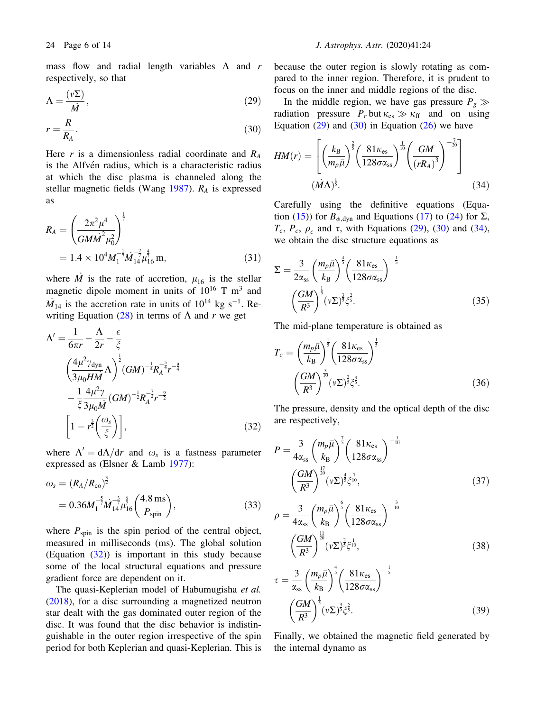<span id="page-5-0"></span>mass flow and radial length variables  $\Lambda$  and r respectively, so that

$$
\Lambda = \frac{(v\Sigma)}{\dot{M}},\tag{29}
$$

$$
r = \frac{R}{R_A}.\tag{30}
$$

Here r is a dimensionless radial coordinate and  $R_A$ is the Alfvén radius, which is a characteristic radius at which the disc plasma is channeled along the stellar magnetic fields (Wang [1987\)](#page-13-0).  $R_A$  is expressed as

$$
R_{A} = \left(\frac{2\pi^{2} \mu^{4}}{GM\dot{M}^{2} \mu_{0}^{2}}\right)^{\frac{1}{7}}
$$
  
= 1.4 × 10<sup>4</sup>M<sub>1</sub><sup>- $\frac{1}{7}$</sup> M<sub>14</sub><sup>- $\frac{2}{7}$</sup> M<sub>16</sub><sup>4</sup>m, (31)

where  $\dot{M}$  is the rate of accretion,  $\mu_{16}$  is the stellar magnetic dipole moment in units of  $10^{16}$  T m<sup>3</sup> and  $\dot{M}_{14}$  is the accretion rate in units of  $10^{14}$  kg s<sup>-1</sup>. Re-writing Equation [\(28](#page-4-0)) in terms of  $\Lambda$  and r we get

$$
\Lambda' = \frac{1}{6\pi r} - \frac{\Lambda}{2r} - \frac{\epsilon}{\xi}
$$
  

$$
\left(\frac{4\mu^2 \gamma_{\text{dyn}}}{3\mu_0 H \dot{M}} \Lambda\right)^{\frac{1}{2}} (GM)^{-\frac{1}{4}} R_A^{-\frac{5}{4}} r^{-\frac{9}{4}}
$$
  

$$
-\frac{1}{\xi} \frac{4\mu^2 \gamma}{3\mu_0 M} (GM)^{-\frac{1}{2}} R_A^{-\frac{7}{2}} r^{-\frac{9}{2}}
$$
  

$$
\left[1 - r^{\frac{3}{2}} \left(\frac{\omega_s}{\xi}\right)\right],
$$
 (32)

where  $\Lambda' = d\Lambda/dr$  and  $\omega_s$  is a fastness parameter expressed as (Elsner & Lamb [1977](#page-13-0)):

$$
\omega_s = (R_A/R_{\rm co})^{\frac{3}{2}}
$$
  
= 0.36M<sub>1</sub><sup>-5</sup>M<sub>14</sub><sup>-3</sup>M<sub>16</sub><sup>-3</sup>M<sub>16</sub><sup>6</sup>( $\frac{4.8 \text{ ms}}{P_{\rm spin}}$ ), (33)

where  $P_{spin}$  is the spin period of the central object, measured in milliseconds (ms). The global solution (Equation  $(32)$ ) is important in this study because some of the local structural equations and pressure gradient force are dependent on it.

The quasi-Keplerian model of Habumugisha et al. ([2018\)](#page-13-0), for a disc surrounding a magnetized neutron star dealt with the gas dominated outer region of the disc. It was found that the disc behavior is indistinguishable in the outer region irrespective of the spin period for both Keplerian and quasi-Keplerian. This is because the outer region is slowly rotating as compared to the inner region. Therefore, it is prudent to focus on the inner and middle regions of the disc.

In the middle region, we have gas pressure  $P_g \gg$ radiation pressure  $P_r$  but  $\kappa_{es} \gg \kappa_{ff}$  and on using Equation  $(29)$  and  $(30)$  in Equation  $(26)$  $(26)$  we have

$$
HM(r) = \left[ \left( \frac{k_{\rm B}}{m_p \bar{\mu}} \right)^{\frac{2}{5}} \left( \frac{81 \kappa_{\rm es}}{128 \sigma \alpha_{\rm ss}} \right)^{\frac{1}{10}} \left( \frac{GM}{(rR_A)^3} \right)^{-\frac{7}{20}} \right]
$$
  

$$
(\dot{M}\Lambda)^{\frac{1}{5}}.
$$
 (34)

Carefully using the definitive equations (Equa-tion ([15\)](#page-3-0)) for  $B_{\phi, \text{dyn}}$  and Equations [\(17](#page-3-0)) to ([24\)](#page-4-0) for  $\Sigma$ ,  $T_c$ ,  $P_c$ ,  $\rho_c$  and  $\tau$ , with Equations (29), (30) and (34), we obtain the disc structure equations as

$$
\Sigma = \frac{3}{2\alpha_{\rm ss}} \left(\frac{m_p \bar{\mu}}{k_{\rm B}}\right)^{\frac{4}{5}} \left(\frac{81\kappa_{\rm es}}{128\sigma\alpha_{\rm ss}}\right)^{-\frac{1}{5}}
$$

$$
\left(\frac{GM}{R^3}\right)^{\frac{1}{5}} \left(\nu \Sigma\right)^{\frac{3}{5}} \zeta^{\frac{2}{5}}.
$$
 (35)

The mid-plane temperature is obtained as

$$
T_c = \left(\frac{m_p \bar{\mu}}{k_B}\right)^{\frac{1}{5}} \left(\frac{81\kappa_{\rm es}}{128\sigma\alpha_{\rm ss}}\right)^{\frac{1}{5}}
$$

$$
\left(\frac{GM}{R^3}\right)^{\frac{3}{10}} (\nu\Sigma)^{\frac{2}{5}} \zeta^{\frac{3}{5}}.
$$
 (36)

The pressure, density and the optical depth of the disc are respectively,

$$
P = \frac{3}{4\alpha_{\rm ss}} \left(\frac{m_p \bar{\mu}}{k_B}\right)^{\frac{7}{5}} \left(\frac{81\kappa_{\rm es}}{128\sigma\alpha_{\rm ss}}\right)^{-\frac{1}{10}} \left(\frac{GM}{R^3}\right)^{\frac{17}{20}} (\nu \Sigma)^{\frac{4}{5}} \zeta^{\frac{7}{10}}, \tag{37}
$$

$$
\rho = \frac{3}{4\alpha_{\rm ss}} \left(\frac{m_p \bar{\mu}}{k_B}\right)^{\frac{6}{3}} \left(\frac{81\kappa_{\rm es}}{128\sigma\alpha_{\rm ss}}\right)^{-\frac{3}{10}}
$$

$$
\left(\frac{GM}{R^3}\right)^{\frac{11}{20}} (\nu \Sigma)^{\frac{2}{5}} \zeta^{\frac{1}{10}},\tag{38}
$$

$$
\tau = \frac{3}{\alpha_{\rm ss}} \left(\frac{m_p \bar{\mu}}{k_{\rm B}}\right)^{\frac{4}{3}} \left(\frac{81\kappa_{\rm es}}{128\sigma\alpha_{\rm ss}}\right)^{-\frac{1}{3}}
$$

$$
\left(\frac{GM}{R^3}\right)^{\frac{1}{3}} (\nu \Sigma)^{\frac{3}{5}} \zeta^{\frac{2}{5}}.
$$
(39)

Finally, we obtained the magnetic field generated by the internal dynamo as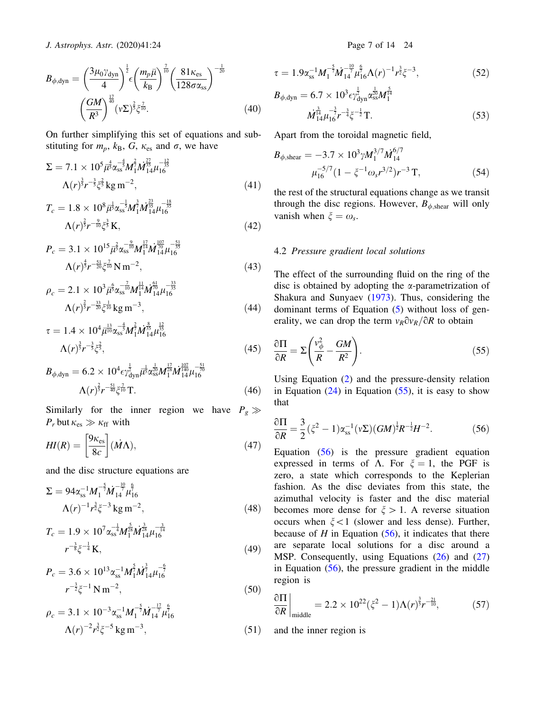<span id="page-6-0"></span>
$$
B_{\phi,\text{dyn}} = \left(\frac{3\mu_0\gamma_{\text{dyn}}}{4}\right)^{\frac{1}{2}} \epsilon \left(\frac{m_p\bar{\mu}}{k_B}\right)^{\frac{7}{10}} \left(\frac{81\kappa_{\text{es}}}{128\sigma\alpha_{\text{ss}}}\right)^{-\frac{1}{20}}
$$

$$
\left(\frac{GM}{R^3}\right)^{\frac{17}{40}} (\nu\Sigma)^{\frac{2}{5}} \zeta^{\frac{7}{10}}.
$$
(40)

On further simplifying this set of equations and substituting for  $m_p$ ,  $k_B$ ,  $G$ ,  $\kappa_{es}$  and  $\sigma$ , we have

$$
\Sigma = 7.1 \times 10^5 \bar{\mu}_3^4 \alpha_{ss}^{-\frac{4}{3}} M_1^{\frac{2}{7}} M_{14}^{\frac{27}{35}} \mu_{16}^{-\frac{12}{35}} \n\Lambda(r)^{\frac{3}{5}} r^{-\frac{3}{5}} \xi^{\frac{2}{5}} \text{kg m}^{-2},
$$
\n(41)

$$
T_c = 1.8 \times 10^8 \bar{\mu}^{\frac{1}{5}} \alpha_{ss}^{-\frac{1}{5}} M_1^{\frac{3}{7}} M_{14}^{\frac{23}{15}} \mu_{16}^{-\frac{18}{35}} \n\Lambda(r)^{\frac{2}{5}} r^{-\frac{9}{10}} \xi^{\frac{3}{5}} \text{K},
$$
\n(42)

$$
P_c = 3.1 \times 10^{15} \bar{\mu}^{\frac{2}{5}} \alpha_{ss}^{-\frac{9}{10}} M_1^{\frac{17}{14}} M_{14}^{\frac{107}{70}} \mu_{16}^{-\frac{51}{35}} \n\Lambda(r)^{\frac{4}{5}} r^{-\frac{51}{20}} \zeta_{10}^{-\frac{7}{10}} N m^{-2},
$$
\n(43)

$$
\rho_c = 2.1 \times 10^3 \bar{\mu}^5 \alpha_s^{-7} M_1^{11} M_{14}^{61} \mu_{16}^{-\frac{33}{35}} \n\Lambda(r)^{\frac{2}{5}} r^{-\frac{33}{20}} \xi^{\frac{1}{10}} \text{kg m}^{-3},
$$
\n(44)

$$
\tau = 1.4 \times 10^4 \bar{\mu}_{10}^{13} \alpha_{ss}^{-\frac{4}{5}} M_1^{\frac{2}{7}} M_{14}^{\frac{8}{15}} \mu_{16}^{\frac{12}{15}} \Lambda(r)^{\frac{3}{5}} r^{-\frac{3}{5}} \zeta^{\frac{2}{5}},\tag{45}
$$

$$
B_{\phi, dyn} = 6.2 \times 10^4 \epsilon \gamma_{dyn}^{\frac{1}{2}} \bar{\mu}^{\frac{1}{3}} \alpha_{ss}^{\frac{1}{20}} M_1^{\frac{12}{28}} M_{14}^{\frac{107}{140}} \mu_{16}^{-\frac{51}{70}} \n\Lambda(r)^{\frac{2}{5}} r^{-\frac{51}{40}} \zeta_{10}^{\frac{7}{10}} \text{T}.
$$
\n(46)

Similarly for the inner region we have  $P_g \gg$  $P_r$  but  $\kappa_{\rm es} \gg \kappa_{\rm ff}$  with

$$
HI(R) = \left[\frac{9\kappa_{\rm es}}{8c}\right](\dot{M}\Lambda),\tag{47}
$$

and the disc structure equations are

$$
\Sigma = 94\alpha_{\rm ss}^{-1} M_1^{-\frac{5}{7}} M_{14}^{-\frac{10}{7}} \mu_{16}^{\frac{6}{7}}
$$
  

$$
\Lambda(r)^{-1} r^{\frac{3}{2}} \zeta^{-3} \text{ kg m}^{-2},
$$
 (48)

$$
T_c = 1.9 \times 10^7 \alpha_{ss}^{-\frac{1}{4}} M_{1}^{\frac{5}{28}} M_{14}^{\frac{3}{28}} \mu_{16}^{-\frac{3}{14}} r^{-\frac{3}{8}} \xi^{-\frac{1}{4}} \text{K}, \tag{49}
$$

$$
P_c = 3.6 \times 10^{13} \alpha_{ss}^{-1} M_1^{\frac{5}{2}} M_{14}^{\frac{5}{2}} \mu_{16}^{-\frac{6}{2}}
$$
  

$$
r^{-\frac{3}{2}} \xi^{-1} N m^{-2},
$$
 (50)

$$
\rho_c = 3.1 \times 10^{-3} \alpha_{ss}^{-1} M_1^{-\frac{5}{7}} M_{14}^{-\frac{17}{7}} \mu_{16}^{\frac{6}{7}}
$$
  

$$
\Lambda(r)^{-2} r^{\frac{3}{2}} \xi^{-5} \text{ kg m}^{-3},
$$
 (51)

$$
\tau = 1.9\alpha_{ss}^{-1} M_1^{-\frac{5}{7}} \dot{M}_{14}^{-\frac{10}{7}} \mu_{16}^{\frac{6}{7}} \Lambda(r)^{-1} r^{\frac{3}{2}} \zeta^{-3},\tag{52}
$$

$$
B_{\phi, dyn} = 6.7 \times 10^3 \epsilon \gamma_{dyn}^{\frac{1}{2}} \alpha_{ss}^{\frac{1}{20}} M_1^{\frac{5}{14}} \n\dot{M}_{14}^{\frac{3}{14}} \mu_{16}^{-\frac{3}{7}} r^{-\frac{3}{4}} \xi^{-\frac{1}{2}} T.
$$
\n(53)

Apart from the toroidal magnetic field,

$$
B_{\phi,\text{shear}} = -3.7 \times 10^3 \gamma M_1^{3/7} M_{14}^{6/7}
$$
  

$$
\mu_{16}^{-5/7} (1 - \xi^{-1} \omega_s r^{3/2}) r^{-3} \text{ T}, \qquad (54)
$$

the rest of the structural equations change as we transit through the disc regions. However,  $B_{\phi,\text{shear}}$  will only vanish when  $\xi = \omega_s$ .

## 4.2 Pressure gradient local solutions

The effect of the surrounding fluid on the ring of the disc is obtained by adopting the  $\alpha$ -parametrization of Shakura and Sunyaev [\(1973](#page-13-0)). Thus, considering the dominant terms of Equation ([5\)](#page-2-0) without loss of generality, we can drop the term  $v_R \partial v_R / \partial R$  to obtain

$$
\frac{\partial \Pi}{\partial R} = \Sigma \left( \frac{v_{\phi}^2}{R} - \frac{GM}{R^2} \right). \tag{55}
$$

Using Equation ([2](#page-2-0)) and the pressure-density relation in Equation  $(24)$  $(24)$  in Equation  $(55)$ , it is easy to show that

$$
\frac{\partial \Pi}{\partial R} = \frac{3}{2} (\xi^2 - 1) \alpha_{ss}^{-1} (\nu \Sigma) (GM)^{\frac{1}{2}} R^{-\frac{1}{2}} H^{-2}.
$$
 (56)

Equation (56) is the pressure gradient equation expressed in terms of  $\Lambda$ . For  $\xi = 1$ , the PGF is zero, a state which corresponds to the Keplerian fashion. As the disc deviates from this state, the azimuthal velocity is faster and the disc material becomes more dense for  $\xi > 1$ . A reverse situation occurs when  $\xi$  < 1 (slower and less dense). Further, because of  $H$  in Equation (56), it indicates that there are separate local solutions for a disc around a MSP. Consequently, using Equations ([26\)](#page-4-0) and ([27\)](#page-4-0) in Equation (56), the pressure gradient in the middle region is

$$
\left. \frac{\partial \Pi}{\partial R} \right|_{\text{middle}} = 2.2 \times 10^{22} (\xi^2 - 1) \Lambda(r)^{\frac{3}{5}} r^{-\frac{21}{10}}, \tag{57}
$$

and the inner region is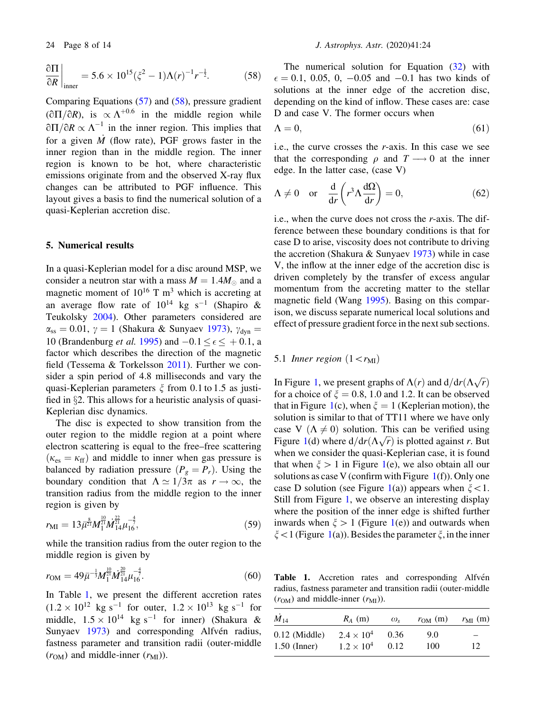<span id="page-7-0"></span>
$$
\frac{\partial \Pi}{\partial R}\bigg|_{\text{inner}} = 5.6 \times 10^{15} (\xi^2 - 1) \Lambda(r)^{-1} r^{-\frac{1}{2}}.
$$
 (58)

Comparing Equations [\(57](#page-6-0)) and [\(58](#page-6-0)), pressure gradient  $(\partial \Pi / \partial R)$ , is  $\propto \Lambda^{+0.6}$  in the middle region while  $\partial\Pi/\partial R \propto \Lambda^{-1}$  in the inner region. This implies that for a given  $\dot{M}$  (flow rate), PGF grows faster in the inner region than in the middle region. The inner region is known to be hot, where characteristic emissions originate from and the observed X-ray flux changes can be attributed to PGF influence. This layout gives a basis to find the numerical solution of a quasi-Keplerian accretion disc.

# 5. Numerical results

In a quasi-Keplerian model for a disc around MSP, we consider a neutron star with a mass  $M = 1.4M_{\odot}$  and a magnetic moment of  $10^{16}$  T m<sup>3</sup> which is accreting at an average flow rate of  $10^{14}$  kg s<sup>-1</sup> (Shapiro & Teukolsky [2004](#page-13-0)). Other parameters considered are  $\alpha_{ss} = 0.01$ ,  $\gamma = 1$  (Shakura & Sunyaev [1973\)](#page-13-0),  $\gamma_{dyn} =$ 10 (Brandenburg *et al.* [1995](#page-12-0)) and  $-0.1 \le \epsilon \le +0.1$ , a factor which describes the direction of the magnetic field (Tessema & Torkelsson [2011\)](#page-13-0). Further we consider a spin period of 4.8 milliseconds and vary the quasi-Keplerian parameters  $\xi$  from 0.1 to 1.5 as justified in  $\S2$ . This allows for a heuristic analysis of quasi-Keplerian disc dynamics.

The disc is expected to show transition from the outer region to the middle region at a point where electron scattering is equal to the free–free scattering  $(\kappa_{\rm es} = \kappa_{\rm ff})$  and middle to inner when gas pressure is balanced by radiation pressure  $(P_g = P_r)$ . Using the boundary condition that  $\Lambda \simeq 1/3\pi$  as  $r \to \infty$ , the transition radius from the middle region to the inner region is given by

$$
r_{\rm MI} = 13 \bar{\mu}^{\frac{8}{21}} M_1^{\frac{10}{21}} M_{14}^{\frac{22}{21}} \mu_{16}^{-\frac{4}{7}},\tag{59}
$$

while the transition radius from the outer region to the middle region is given by

$$
r_{\rm OM} = 49\bar{\mu}^{-\frac{1}{3}} M_1^{\frac{10}{21}} M_{14}^{\frac{20}{21}} \mu_{16}^{-\frac{4}{7}}.
$$
 (60)

In Table 1, we present the different accretion rates  $(1.2 \times 10^{12} \text{ kg s}^{-1} \text{ for outer}, 1.2 \times 10^{13} \text{ kg s}^{-1} \text{ for}$ middle,  $1.5 \times 10^{14}$  kg s<sup>-1</sup> for inner) (Shakura & Sunyaev [1973](#page-13-0)) and corresponding Alfvén radius, fastness parameter and transition radii (outer-middle  $(r<sub>OM</sub>)$  and middle-inner  $(r<sub>MI</sub>)$ ).

The numerical solution for Equation [\(32](#page-5-0)) with  $\epsilon = 0.1, 0.05, 0, -0.05$  and  $-0.1$  has two kinds of solutions at the inner edge of the accretion disc, depending on the kind of inflow. These cases are: case D and case V. The former occurs when

$$
\Lambda = 0,\tag{61}
$$

i.e., the curve crosses the r-axis. In this case we see that the corresponding  $\rho$  and  $T \longrightarrow 0$  at the inner edge. In the latter case, (case V)

$$
\Lambda \neq 0 \quad \text{or} \quad \frac{\mathrm{d}}{\mathrm{d}r} \left( r^3 \Lambda \frac{\mathrm{d}\Omega}{\mathrm{d}r} \right) = 0, \tag{62}
$$

i.e., when the curve does not cross the r-axis. The difference between these boundary conditions is that for case D to arise, viscosity does not contribute to driving the accretion (Shakura & Sunyaev  $1973$ ) while in case V, the inflow at the inner edge of the accretion disc is driven completely by the transfer of excess angular momentum from the accreting matter to the stellar magnetic field (Wang [1995](#page-13-0)). Basing on this comparison, we discuss separate numerical local solutions and effect of pressure gradient force in the next sub sections.

# 5.1 Inner region  $(1\lt r_{\text{MI}})$

In Figure [1,](#page-8-0) we present graphs of  $\Lambda(r)$  and  $d/dr(\Lambda\sqrt{r})$ for a choice of  $\xi = 0.8$ , 1.0 and 1.2. It can be observed that in Figure [1\(](#page-8-0)c), when  $\xi = 1$  (Keplerian motion), the solution is similar to that of TT11 where we have only case V  $(\Lambda \neq 0)$  solution. This can be verified using Figure [1](#page-8-0)(d) where  $d/dr(\Lambda\sqrt{r})$  is plotted against r. But when we consider the quasi-Keplerian case, it is found that when  $\xi > 1$  in Figure [1\(](#page-8-0)e), we also obtain all our solutions as case V (confirm with Figure  $1(f)$  $1(f)$ ). Only one case D solution (see Figure [1](#page-8-0)(a)) appears when  $\xi$  < 1. Still from Figure [1,](#page-8-0) we observe an interesting display where the position of the inner edge is shifted further inwards when  $\xi > 1$  $\xi > 1$  (Figure 1(e)) and outwards when  $\xi$  < 1 (Figure [1\(](#page-8-0)a)). Besides the parameter  $\xi$ , in the inner

Table 1. Accretion rates and corresponding Alfvén radius, fastness parameter and transition radii (outer-middle  $(r<sub>OM</sub>)$  and middle-inner  $(r<sub>MI</sub>)$ ).

| $\dot{M}_{14}$  | $R_A$ (m)           | $\omega_{\rm s}$ | $r_{OM}$ (m) | $r_{\text{MI}}$ (m) |
|-----------------|---------------------|------------------|--------------|---------------------|
| $0.12$ (Middle) | $2.4 \times 10^{4}$ | 0.36             | 9.0          | -                   |
| $1.50$ (Inner)  | $1.2 \times 10^{4}$ | 0.12             | 100          | 12                  |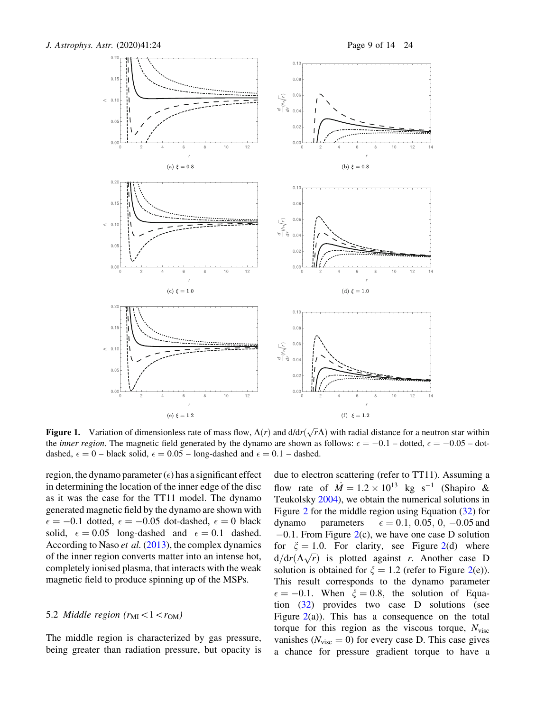<span id="page-8-0"></span>

**Figure 1.** Variation of dimensionless rate of mass flow,  $\Lambda(r)$  and  $d/dr(\sqrt{r}\Lambda)$  with radial distance for a neutron star within the *inner region*. The magnetic field generated by the dynamo are shown as follows:  $\epsilon = -0.1$  – dotted,  $\epsilon = -0.05$  – dotdashed,  $\epsilon = 0$  – black solid,  $\epsilon = 0.05$  – long-dashed and  $\epsilon = 0.1$  – dashed.

region, the dynamo parameter  $(\epsilon)$  has a significant effect in determining the location of the inner edge of the disc as it was the case for the TT11 model. The dynamo generated magnetic field by the dynamo are shown with  $\epsilon = -0.1$  dotted,  $\epsilon = -0.05$  dot-dashed,  $\epsilon = 0$  black solid,  $\epsilon = 0.05$  long-dashed and  $\epsilon = 0.1$  dashed. According to Naso *et al.* ([2013\)](#page-13-0), the complex dynamics of the inner region converts matter into an intense hot, completely ionised plasma, that interacts with the weak magnetic field to produce spinning up of the MSPs.

#### 5.2 Middle region  $(r_{\rm MI}\lt1\lt r_{\rm OM})$

The middle region is characterized by gas pressure, being greater than radiation pressure, but opacity is due to electron scattering (refer to TT11). Assuming a flow rate of  $\dot{M} = 1.2 \times 10^{13}$  kg s<sup>-1</sup> (Shapiro & Teukolsky [2004\)](#page-13-0), we obtain the numerical solutions in Figure [2](#page-9-0) for the middle region using Equation [\(32](#page-5-0)) for dynamo parameters  $\epsilon = 0.1, 0.05, 0, -0.05$  and  $-0.1$ . From Figure [2](#page-9-0)(c), we have one case D solution for  $\xi = 1.0$ . For clarity, see Figure [2\(](#page-9-0)d) where  $d/dr(\Delta\sqrt{r})$  is plotted against *r*. Another case D solution is obtained for  $\xi = 1.2$  (refer to Figure [2\(](#page-9-0)e)). This result corresponds to the dynamo parameter  $\epsilon = -0.1$ . When  $\xi = 0.8$ , the solution of Equation ([32\)](#page-5-0) provides two case D solutions (see Figure  $2(a)$  $2(a)$ ). This has a consequence on the total torque for this region as the viscous torque,  $N_{\text{visc}}$ vanishes ( $N_{\text{visc}} = 0$ ) for every case D. This case gives a chance for pressure gradient torque to have a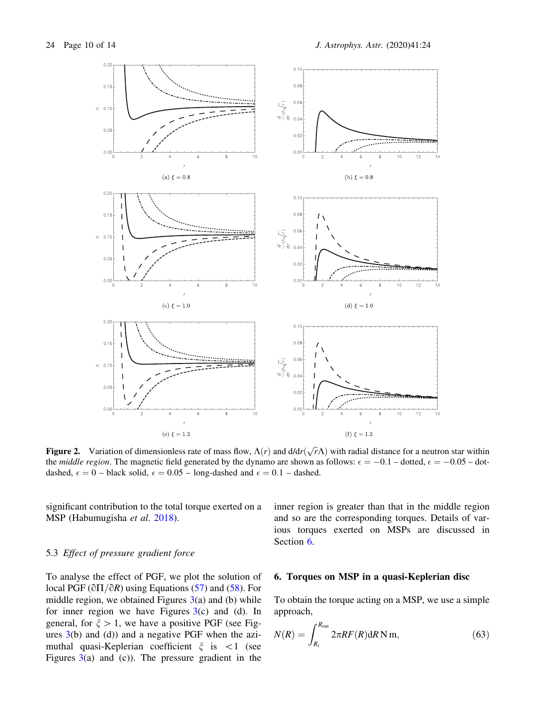<span id="page-9-0"></span>

**Figure 2.** Variation of dimensionless rate of mass flow,  $\Lambda(r)$  and  $d/dr(\sqrt{r}\Lambda)$  with radial distance for a neutron star within the *middle region*. The magnetic field generated by the dynamo are shown as follows:  $\epsilon = -0.1$  – dotted,  $\epsilon = -0.05$  – dotdashed,  $\epsilon = 0$  – black solid,  $\epsilon = 0.05$  – long-dashed and  $\epsilon = 0.1$  – dashed.

significant contribution to the total torque exerted on a MSP (Habumugisha et al. [2018](#page-13-0)).

# 5.3 Effect of pressure gradient force

To analyse the effect of PGF, we plot the solution of local PGF ( $\partial\Pi/\partial R$ ) using Equations [\(57](#page-6-0)) and [\(58](#page-6-0)). For middle region, we obtained Figures  $3(a)$  $3(a)$  and (b) while for inner region we have Figures  $3(c)$  $3(c)$  and (d). In general, for  $\xi > 1$ , we have a positive PGF (see Figures  $3(b)$  $3(b)$  and  $(d)$ ) and a negative PGF when the azimuthal quasi-Keplerian coefficient  $\xi$  is  $\langle 1 \rangle$  (see Figures [3\(](#page-10-0)a) and (c)). The pressure gradient in the inner region is greater than that in the middle region and so are the corresponding torques. Details of various torques exerted on MSPs are discussed in Section 6.

#### 6. Torques on MSP in a quasi-Keplerian disc

To obtain the torque acting on a MSP, we use a simple approach,

$$
N(R) = \int_{R_i}^{R_{\text{out}}} 2\pi RF(R) \, \mathrm{d}R \, \mathrm{N} \, \mathrm{m},\tag{63}
$$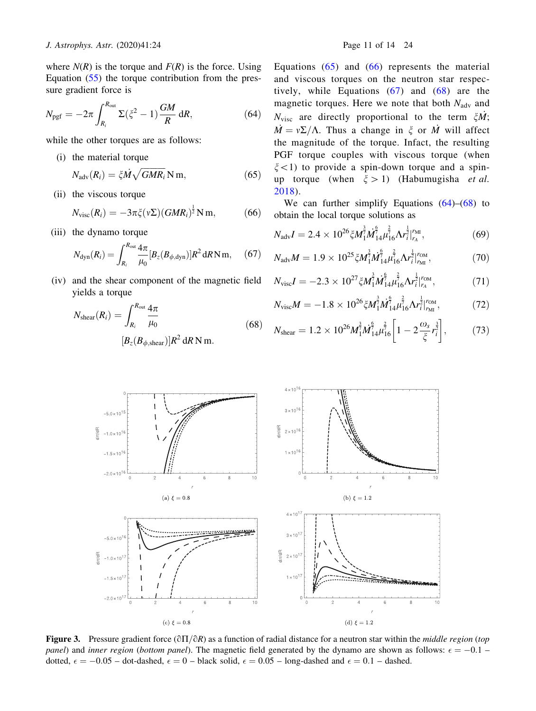<span id="page-10-0"></span>where  $N(R)$  is the torque and  $F(R)$  is the force. Using Equation ([55\)](#page-6-0) the torque contribution from the pressure gradient force is

$$
N_{\text{pgf}} = -2\pi \int_{R_i}^{R_{\text{out}}} \Sigma(\xi^2 - 1) \frac{GM}{R} dR, \qquad (64)
$$

while the other torques are as follows:

(i) the material torque

$$
N_{\text{adv}}(R_i) = \xi \dot{M} \sqrt{GMR_i} \,\text{N m},\tag{65}
$$

(ii) the viscous torque

$$
N_{\text{visc}}(R_i) = -3\pi \xi(\nu \Sigma) (GMR_i)^{\frac{1}{2}} \text{N m}, \tag{66}
$$

(iii) the dynamo torque

$$
N_{\rm dyn}(R_i) = \int_{R_i}^{R_{\rm out}} \frac{4\pi}{\mu_0} [B_z(B_{\phi,\rm dyn})] R^2 \, dR \, \text{N} \, \text{m}, \quad (67)
$$

(iv) and the shear component of the magnetic field yields a torque

$$
N_{\text{shear}}(R_i) = \int_{R_i}^{R_{\text{out}}} \frac{4\pi}{\mu_0}
$$
 (68)  

$$
[B_z(B_{\phi,\text{shear}})]R^2 \, \text{d}R \, \text{N m}.
$$

Equations  $(65)$  and  $(66)$  represents the material and viscous torques on the neutron star respectively, while Equations (67) and (68) are the magnetic torques. Here we note that both  $N_{\text{adv}}$  and  $N_{\text{visc}}$  are directly proportional to the term  $\zeta M$ ;  $\dot{M} = v\Sigma/\Lambda$ . Thus a change in  $\zeta$  or M will affect the magnitude of the torque. Infact, the resulting PGF torque couples with viscous torque (when  $\xi$  < 1) to provide a spin-down torque and a spinup torque (when  $\xi > 1$ ) (Habumugisha et al. [2018\)](#page-13-0).

We can further simplify Equations  $(64)$ – $(68)$  to obtain the local torque solutions as

$$
N_{\text{adv}}I = 2.4 \times 10^{26} \xi M_1^{\frac{3}{7}} M_{14}^{\frac{6}{7}} \mu_{16}^{\frac{2}{7}} \Lambda r_i^{\frac{1}{2}} \big|_{r_A}^{r_{\text{MI}}},\tag{69}
$$

$$
N_{\rm adv}M = 1.9 \times 10^{25} \xi M_1^{\frac{3}{7}} M_{14}^{\frac{6}{7}} \mu_{16}^{\frac{2}{7}} \Lambda r_i^{\frac{1}{2}} r_{\rm M}^{\rm OM},\tag{70}
$$

$$
N_{\rm visc}I = -2.3 \times 10^{27} \xi M_1^{\frac{3}{7}} M_{14}^{\frac{6}{7}} \mu_{16}^{\frac{2}{7}} \Lambda r_i^{\frac{1}{2}}|_{r_A}^{r_{\rm OM}},\tag{71}
$$

$$
N_{\rm visc}M = -1.8 \times 10^{26} \zeta M_1^{\frac{3}{7}} M_{14}^{\frac{6}{7}} \mu_{16}^{\frac{2}{7}} \Lambda r_i^{\frac{1}{2}} \big|_{r_{\rm MI}}^{r_{\rm OM}},\tag{72}
$$

$$
N_{\text{shear}} = 1.2 \times 10^{26} M_1^{\frac{3}{7}} M_{14}^{\frac{6}{7}} \mu_{16}^{\frac{2}{7}} \left[ 1 - 2 \frac{\omega_s}{\xi} r_i^{\frac{3}{2}} \right],\tag{73}
$$



**Figure 3.** Pressure gradient force ( $\partial \Pi / \partial R$ ) as a function of radial distance for a neutron star within the *middle region* (top panel) and inner region (bottom panel). The magnetic field generated by the dynamo are shown as follows:  $\epsilon = -0.1$ . dotted,  $\epsilon = -0.05$  – dot-dashed,  $\epsilon = 0$  – black solid,  $\epsilon = 0.05$  – long-dashed and  $\epsilon = 0.1$  – dashed.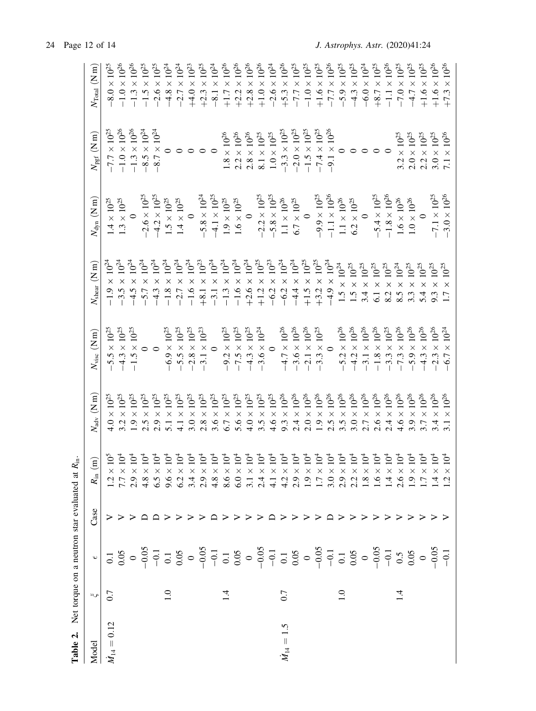<span id="page-11-0"></span>

| Table 2.        |                        | Net torque on a neutron star evaluated at |      | $R_{\rm in}.$                                                   |                                                                                                                                                                                                                                                                                                                                             |                                                                                                                                                                                                                                                        |                                                                                                                                                                                                                                                                                                                                                 |                                                                            |                                                                                                                                               |                                                                                                                                                                                                                                                                                                                        |
|-----------------|------------------------|-------------------------------------------|------|-----------------------------------------------------------------|---------------------------------------------------------------------------------------------------------------------------------------------------------------------------------------------------------------------------------------------------------------------------------------------------------------------------------------------|--------------------------------------------------------------------------------------------------------------------------------------------------------------------------------------------------------------------------------------------------------|-------------------------------------------------------------------------------------------------------------------------------------------------------------------------------------------------------------------------------------------------------------------------------------------------------------------------------------------------|----------------------------------------------------------------------------|-----------------------------------------------------------------------------------------------------------------------------------------------|------------------------------------------------------------------------------------------------------------------------------------------------------------------------------------------------------------------------------------------------------------------------------------------------------------------------|
| Model           | $\sigma_{\mathcal{M}}$ | $\breve{\phantom{a}}$                     | Case | $\widehat{B}$<br>$R_{\rm in}$                                   | $N_{\rm adv}~({\rm N~m})$                                                                                                                                                                                                                                                                                                                   | $N_{\rm visc}~({\rm N\,m})$                                                                                                                                                                                                                            | $N_{\rm shear}~(\rm N\,m)$                                                                                                                                                                                                                                                                                                                      | $N_{\rm dyn}~({\rm N\,m})$                                                 | $N_{\rm pgf}~({\rm N~m})$                                                                                                                     | $N_{\rm Total}~({\rm N~m})$                                                                                                                                                                                                                                                                                            |
| $M_{14} = 0.12$ | 0.7                    |                                           |      | 10 <sup>5</sup>                                                 | $\times\,10^{25}$                                                                                                                                                                                                                                                                                                                           |                                                                                                                                                                                                                                                        | $10^{24}$                                                                                                                                                                                                                                                                                                                                       | $1.4\times10^{25}$ $1.3\times10^{25}$                                      |                                                                                                                                               | $-8.0 \times 10^{25}$                                                                                                                                                                                                                                                                                                  |
|                 |                        |                                           |      | 10 <sup>4</sup><br>$\times$<br>$\frac{1}{7}$ .7                 |                                                                                                                                                                                                                                                                                                                                             |                                                                                                                                                                                                                                                        | $10^{24}\,$<br>$\times$ $\times$ $\times$<br>$-1.9$<br>$-3.5$                                                                                                                                                                                                                                                                                   |                                                                            |                                                                                                                                               |                                                                                                                                                                                                                                                                                                                        |
|                 |                        |                                           |      | 10 <sup>4</sup>                                                 |                                                                                                                                                                                                                                                                                                                                             |                                                                                                                                                                                                                                                        | $10^{24}\,$                                                                                                                                                                                                                                                                                                                                     |                                                                            |                                                                                                                                               |                                                                                                                                                                                                                                                                                                                        |
|                 |                        |                                           |      | 10 <sup>4</sup>                                                 | $\begin{array}{l} 4.0 \times 10^{25} \\ 3.2 \times 10^{25} \\ 3.2 \times 10^{25} \\ 1.9 \times 10^{25} \\ 2.5 \times 10^{25} \\ 2.9 \times 10^{25} \\ 5.1 \times 10^{25} \\ 5.1 \times 10^{25} \end{array}$                                                                                                                                 | $-5.5 \times 10^{25}$<br>$-4.3 \times 10^{25}$<br>$-1.5 \times 10^{25}$<br>0                                                                                                                                                                           | $10^{24}$<br>$-4.5 \times$<br>-5.7 $\times$                                                                                                                                                                                                                                                                                                     | $-2.6 \times 10^{25}$<br>$-4.2 \times 10^{25}$                             |                                                                                                                                               | $-1.0 \times 10^{26}$<br>-1.3 × 10 <sup>26</sup><br>-1.5 × 10 <sup>25</sup>                                                                                                                                                                                                                                            |
|                 |                        |                                           |      | 10 <sup>4</sup>                                                 |                                                                                                                                                                                                                                                                                                                                             |                                                                                                                                                                                                                                                        | $10^{24}$<br>$-4.3 \times$                                                                                                                                                                                                                                                                                                                      |                                                                            |                                                                                                                                               |                                                                                                                                                                                                                                                                                                                        |
|                 | 1.0                    |                                           |      | 10 <sup>4</sup>                                                 |                                                                                                                                                                                                                                                                                                                                             |                                                                                                                                                                                                                                                        | $10^{24}\,$                                                                                                                                                                                                                                                                                                                                     |                                                                            |                                                                                                                                               |                                                                                                                                                                                                                                                                                                                        |
|                 |                        |                                           |      | 10 <sup>4</sup><br>146964948649<br>146964986044                 | $4.1 \times 10^{25}$                                                                                                                                                                                                                                                                                                                        | $-6.9 \times 10^{25}$<br>$-5.5 \times 10^{25}$<br>$-2.8 \times 10^{25}$<br>$-3.1 \times 10^{23}$<br>0                                                                                                                                                  | $10^{24}\,$<br>$-1.8 \times -2.7 \times$                                                                                                                                                                                                                                                                                                        | $1.5\times10^{25}$ $1.4\times10^{25}$                                      | $-7.7 \times 10^{25}$<br>$-1.0 \times 10^{26}$<br>$-1.3 \times 10^{26}$<br>$-8.5 \times 10^{24}$<br>$-8.7 \times 10^{24}$<br>0<br>0<br>0<br>0 | $-2.6 \times 10^{25}$ $-1.3 \times 10^{24}$ $-1.4 \times 1.7 \times 10^{26}$ $-1.5 \times 10^{25}$ $-1.5 \times 10^{26}$ $-1.5 \times 10^{26}$ $-1.5 \times 10^{25}$ $-1.5 \times 10^{26}$ $-1.5 \times 10^{26}$ $-1.5 \times 10^{25}$ $-1.5 \times 10^{25}$ $-1.5 \times 10^{25}$ $-1.5 \times 10^{25}$ $-1.5 \times$ |
|                 |                        |                                           |      | 10 <sup>4</sup>                                                 |                                                                                                                                                                                                                                                                                                                                             |                                                                                                                                                                                                                                                        | $10^{24}$<br>$-1.6 \times$                                                                                                                                                                                                                                                                                                                      |                                                                            |                                                                                                                                               |                                                                                                                                                                                                                                                                                                                        |
|                 |                        |                                           |      | 10 <sup>4</sup>                                                 |                                                                                                                                                                                                                                                                                                                                             |                                                                                                                                                                                                                                                        | $10^{23}$<br>$+8.1 \times$                                                                                                                                                                                                                                                                                                                      | $-5.8 \times 10^{24}$                                                      |                                                                                                                                               |                                                                                                                                                                                                                                                                                                                        |
|                 |                        |                                           |      | 10 <sup>4</sup>                                                 |                                                                                                                                                                                                                                                                                                                                             |                                                                                                                                                                                                                                                        |                                                                                                                                                                                                                                                                                                                                                 | $-4.1 \times 10^{25}$                                                      |                                                                                                                                               |                                                                                                                                                                                                                                                                                                                        |
|                 |                        |                                           |      | 10 <sup>4</sup>                                                 |                                                                                                                                                                                                                                                                                                                                             |                                                                                                                                                                                                                                                        |                                                                                                                                                                                                                                                                                                                                                 | $1.9\times10^{25}$                                                         |                                                                                                                                               |                                                                                                                                                                                                                                                                                                                        |
|                 |                        |                                           |      | 10 <sup>4</sup>                                                 |                                                                                                                                                                                                                                                                                                                                             |                                                                                                                                                                                                                                                        |                                                                                                                                                                                                                                                                                                                                                 | $1.6\times10^{25}$                                                         |                                                                                                                                               |                                                                                                                                                                                                                                                                                                                        |
|                 |                        |                                           |      | 10 <sup>4</sup>                                                 |                                                                                                                                                                                                                                                                                                                                             |                                                                                                                                                                                                                                                        |                                                                                                                                                                                                                                                                                                                                                 | $\overline{\phantom{0}}$                                                   |                                                                                                                                               |                                                                                                                                                                                                                                                                                                                        |
|                 |                        |                                           |      | 10 <sup>4</sup>                                                 | $\begin{array}{l} 3.0 \times 10^{25} \\ 2.8 \times 10^{25} \\ 3.6 \times 10^{25} \\ 4.6 \times 10^{24} \\ 5.7 \times 10^{25} \\ 6.7 \times 10^{25} \\ 7.8 \times 10^{25} \\ 8.9 \times 10^{25} \\ 9.10^{25} \\ 10^{25} \\ 10^{25} \\ 10^{25} \\ 10^{25} \\ 10^{25} \\ 10^{25} \\ 10^{25} \\ 10^{25} \\ 10^{25} \\ 10^{25} \\ 10^{25} \\ 10$ | $-9.2 \times 10^{25}$<br>$-7.5 \times 10^{25}$<br>$-4.3 \times 10^{25}$<br>$-3.6 \times 10^{24}$                                                                                                                                                       | $\begin{array}{cccc} 31 & \times & 10^{24} \\ -3.1 & \times & 10^{24} \\ -1 & 0 & 10^{24} \\ -1 & 0 & 0 & 10^{23} \\ -1 & 0 & 0 & 0 & 0 \\ -1 & 0 & 0 & 0 & 0 \\ -1 & 0 & 0 & 0 & 0 \\ -1 & 0 & 0 & 0 & 0 \\ -1 & 0 & 0 & 0 & 0 \\ -1 & 0 & 0 & 0 & 0 \\ -1 & 0 & 0 & 0 & 0 \\ 0 & 0 & 0 & 0 & 0 \\ 0 & 0 & 0 & 0 & 0 \\ 0 & 0 & 0 & 0 & 0 \\ $ |                                                                            | $\begin{array}{l} 1.8\times 10^{26}\\ 2.2\times 10^{26}\\ 2.8\times 10^{26}\\ 8.1\times 10^{25}\\ 1.0\times 10^{25}\\ \end{array}$            |                                                                                                                                                                                                                                                                                                                        |
|                 |                        |                                           |      | 10 <sup>4</sup><br>$\frac{1}{4}$                                |                                                                                                                                                                                                                                                                                                                                             |                                                                                                                                                                                                                                                        |                                                                                                                                                                                                                                                                                                                                                 | $-2.2 \times 10^{25}$<br>$-5.8 \times 10^{25}$                             |                                                                                                                                               |                                                                                                                                                                                                                                                                                                                        |
| $M_{14} = 1.5$  | 0.7                    |                                           |      | 10 <sup>4</sup><br>X X                                          |                                                                                                                                                                                                                                                                                                                                             | $-4.7 \times 10^{26}$<br>$-3.6 \times 10^{26}$<br>$-2.1 \times 10^{26}$<br>$-3.3 \times 10^{25}$<br>0                                                                                                                                                  |                                                                                                                                                                                                                                                                                                                                                 | $\begin{array}{l} 1.1\times 10^{26}\\ 6.7\times 10^{25} \end{array}$       |                                                                                                                                               |                                                                                                                                                                                                                                                                                                                        |
|                 |                        |                                           |      | $\times$                                                        |                                                                                                                                                                                                                                                                                                                                             |                                                                                                                                                                                                                                                        |                                                                                                                                                                                                                                                                                                                                                 |                                                                            |                                                                                                                                               |                                                                                                                                                                                                                                                                                                                        |
|                 |                        |                                           |      | $\frac{16}{10}$<br>$\times$                                     |                                                                                                                                                                                                                                                                                                                                             |                                                                                                                                                                                                                                                        |                                                                                                                                                                                                                                                                                                                                                 |                                                                            |                                                                                                                                               |                                                                                                                                                                                                                                                                                                                        |
|                 |                        |                                           |      | 10 <sup>4</sup><br>$\times$                                     |                                                                                                                                                                                                                                                                                                                                             |                                                                                                                                                                                                                                                        | $10^{25}\,$                                                                                                                                                                                                                                                                                                                                     | $-9.9 \times 10^{25}$<br>-1.1 × 10 <sup>25</sup>                           |                                                                                                                                               |                                                                                                                                                                                                                                                                                                                        |
|                 |                        |                                           |      | 10 <sup>4</sup><br>$\times$                                     |                                                                                                                                                                                                                                                                                                                                             |                                                                                                                                                                                                                                                        |                                                                                                                                                                                                                                                                                                                                                 |                                                                            |                                                                                                                                               |                                                                                                                                                                                                                                                                                                                        |
|                 |                        |                                           |      | 10 <sup>4</sup><br>×                                            |                                                                                                                                                                                                                                                                                                                                             |                                                                                                                                                                                                                                                        |                                                                                                                                                                                                                                                                                                                                                 |                                                                            |                                                                                                                                               |                                                                                                                                                                                                                                                                                                                        |
|                 |                        |                                           |      | 10 <sup>4</sup><br>$\times$                                     |                                                                                                                                                                                                                                                                                                                                             |                                                                                                                                                                                                                                                        | $\times$ $10^{24}$ $\times$ $10^{25}$                                                                                                                                                                                                                                                                                                           | $\begin{array}{l} 1.1 \times 10^{26} \\ 6.2 \times 10^{25} \\ \end{array}$ |                                                                                                                                               |                                                                                                                                                                                                                                                                                                                        |
|                 |                        |                                           |      | 10 <sup>4</sup><br>$\times$                                     |                                                                                                                                                                                                                                                                                                                                             |                                                                                                                                                                                                                                                        |                                                                                                                                                                                                                                                                                                                                                 |                                                                            |                                                                                                                                               |                                                                                                                                                                                                                                                                                                                        |
|                 |                        |                                           |      | 10 <sup>4</sup><br>$\times$                                     |                                                                                                                                                                                                                                                                                                                                             |                                                                                                                                                                                                                                                        |                                                                                                                                                                                                                                                                                                                                                 |                                                                            |                                                                                                                                               |                                                                                                                                                                                                                                                                                                                        |
|                 |                        |                                           |      | 10 <sup>4</sup><br>×<br>4.                                      |                                                                                                                                                                                                                                                                                                                                             |                                                                                                                                                                                                                                                        |                                                                                                                                                                                                                                                                                                                                                 | $-5.4 \times 10^{25}$<br>-1.8 $\times 10^{26}$                             |                                                                                                                                               |                                                                                                                                                                                                                                                                                                                        |
|                 | $\bar{4}$              |                                           |      | 10 <sup>4</sup><br>X                                            |                                                                                                                                                                                                                                                                                                                                             |                                                                                                                                                                                                                                                        | $\begin{array}{c} \times \ 10^{25} \\ \times \ 10^{25} \\ \times \ 10^{25} \\ \times \ 10^{24} \\ \end{array}$<br>$1.941$<br>$1.412$<br>$1.428$<br>$1.50$<br>$1.50$<br>$1.50$<br>$1.50$                                                                                                                                                         | $\begin{array}{l} 1.6 \times 10^{26} \\ 1.0 \times 10^{26} \\ \end{array}$ |                                                                                                                                               |                                                                                                                                                                                                                                                                                                                        |
|                 |                        |                                           |      | 10 <sup>4</sup><br>$\times$<br>$\ddot{0}$ $\ddot{0}$ $\ddot{0}$ | $3.9 \times 10^{26}$                                                                                                                                                                                                                                                                                                                        |                                                                                                                                                                                                                                                        | $\times$ $10^{25}$                                                                                                                                                                                                                                                                                                                              |                                                                            |                                                                                                                                               |                                                                                                                                                                                                                                                                                                                        |
|                 |                        |                                           |      | 10 <sup>4</sup><br>$\times$                                     | $3.7 \times 10^{26}$                                                                                                                                                                                                                                                                                                                        |                                                                                                                                                                                                                                                        | $\times$ $10^{25}$<br>5.4                                                                                                                                                                                                                                                                                                                       |                                                                            |                                                                                                                                               | $+1.6\times10^{25}$                                                                                                                                                                                                                                                                                                    |
|                 |                        |                                           |      | 10 <sup>4</sup><br>X                                            | $\begin{array}{l} 3.4\times 10^{26}\\ 3.1\times 10^{26} \end{array}$                                                                                                                                                                                                                                                                        | $-5.2 \times 10^{26}$<br>$-4.2 \times 10^{26}$<br>$-3.1 \times 10^{26}$<br>$-1.8 \times 10^{25}$<br>$-1.3 \times 10^{25}$<br>$-7.3 \times 10^{25}$<br>$-5.9 \times 10^{26}$<br>$-4.3 \times 10^{26}$<br>$-2.3 \times 10^{26}$<br>$-6.7 \times 10^{24}$ | $10^{25}$<br>$\overline{x}$ $\overline{x}$                                                                                                                                                                                                                                                                                                      | $-7.1 \times 10^{25}$<br>$-3.0 \times 10^{26}$                             | $\begin{array}{c} 3.2\times 10^{25}\\ 2.0\times 10^{25}\\ 2.2\times 10^{25}\\ 3.0\times 10^{25}\\ 7.1\times 10^{26}\\ \end{array}$            | $+1.6 \times 10^{26}$<br>$+7.3 \times 10^{26}$                                                                                                                                                                                                                                                                         |
|                 |                        |                                           |      | 10 <sup>4</sup><br>$\mathsf{X}$<br>4 ਂ                          | $10^{26}\,$                                                                                                                                                                                                                                                                                                                                 |                                                                                                                                                                                                                                                        | $10^{25}$                                                                                                                                                                                                                                                                                                                                       |                                                                            |                                                                                                                                               |                                                                                                                                                                                                                                                                                                                        |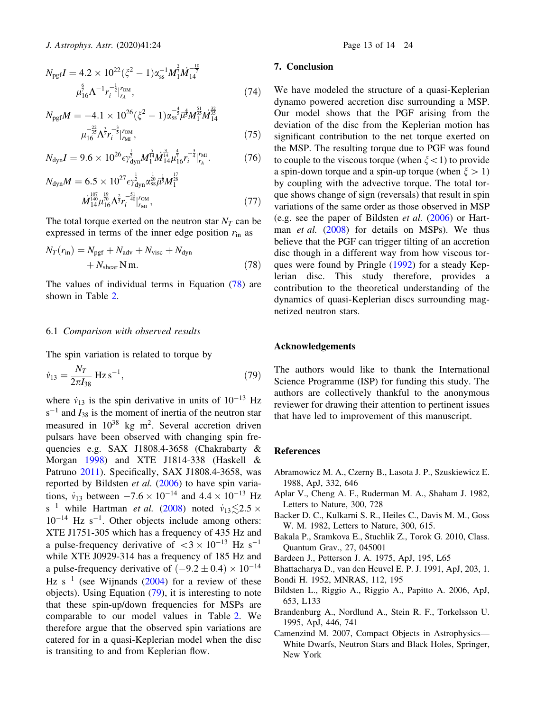<span id="page-12-0"></span>
$$
N_{\text{pgf}}I = 4.2 \times 10^{22} (\xi^2 - 1)\alpha_{\text{ss}}^{-1} M_1^{\frac{2}{7}} M_{14}^{-\frac{10}{7}}
$$
  

$$
\mu_{16}^{\frac{6}{7}} \Lambda^{-1} r_i^{-\frac{1}{2}} \vert_{r_A}^{r_{\text{OM}}},
$$
 (74)

$$
N_{\text{pgf}}M = -4.1 \times 10^{26} (\xi^2 - 1) \alpha_{\text{ss}}^{-\frac{4}{5}} \overline{\mu}^{\frac{4}{3}} M_1^{\frac{51}{3}} M_{14}^{\frac{52}{35}} \overline{\mu}^{\frac{32}{3}} M_{14}^{\frac{52}{35}}
$$

$$
\mu_{16}^{-\frac{22}{35}} \Lambda^{\frac{3}{5}} r_i^{-\frac{2}{5}} \vert_{r_{\text{MI}}}^{r_{\text{OM}}}, \tag{75}
$$

$$
N_{\rm dyn}I = 9.6 \times 10^{26} \epsilon \gamma_{\rm dyn}^{\frac{1}{2}} M_1^{\frac{5}{14}} \dot{M}_{14}^{\frac{3}{14}} \mu_{16}^{\frac{1}{7}} r_i^{-\frac{3}{4}} \vert_{r_A}^{r_{\rm MI}}.
$$
 (76)

$$
N_{\rm dyn}M = 6.5 \times 10^{27} \epsilon \gamma_{\rm dyn}^{\frac{1}{2}} \alpha_{\rm ss}^{\frac{1}{20}} \bar{u}^{\frac{1}{3}} M_{1}^{\frac{17}{28}} M_{14}^{\frac{107}{44}} \mu_{16}^{\frac{19}{70}} \Lambda^{\frac{2}{5}} r_{i}^{-\frac{51}{40}} \Big|_{r_{\rm MI}}^{r_{\rm OM}},
$$
(77)

The total torque exerted on the neutron star  $N_T$  can be expressed in terms of the inner edge position  $r_{\text{in}}$  as

$$
N_T(r_{\rm in}) = N_{\rm pgf} + N_{\rm adv} + N_{\rm visc} + N_{\rm dyn} + N_{\rm shear} \,\mathrm{N} \,\mathrm{m}.\tag{78}
$$

The values of individual terms in Equation (78) are shown in Table [2.](#page-11-0)

## 6.1 Comparison with observed results

The spin variation is related to torque by

$$
\dot{v}_{13} = \frac{N_T}{2\pi I_{38}} \text{ Hz s}^{-1},\tag{79}
$$

where  $\dot{v}_{13}$  is the spin derivative in units of  $10^{-13}$  Hz  $s^{-1}$  and  $I_{38}$  is the moment of inertia of the neutron star measured in  $10^{38}$  kg m<sup>2</sup>. Several accretion driven pulsars have been observed with changing spin frequencies e.g. SAX J1808.4-3658 (Chakrabarty & Morgan [1998\)](#page-13-0) and XTE J1814-338 (Haskell & Patruno [2011](#page-13-0)). Specifically, SAX J1808.4-3658, was reported by Bildsten et al. (2006) to have spin variations,  $\dot{v}_{13}$  between  $-7.6 \times 10^{-14}$  and  $4.4 \times 10^{-13}$  Hz s<sup>-1</sup> while Hartman *et al.* [\(2008](#page-13-0)) noted  $\dot{v}_{13} \leq 2.5 \times$  $10^{-14}$  Hz s<sup>-1</sup>. Other objects include among others: XTE J1751-305 which has a frequency of 435 Hz and a pulse-frequency derivative of  $\langle 3 \times 10^{-13} \text{ Hz s}^{-1} \rangle$ while XTE J0929-314 has a frequency of 185 Hz and a pulse-frequency derivative of  $(-9.2 \pm 0.4) \times 10^{-14}$ Hz  $s^{-1}$  (see Wijnands [\(2004](#page-13-0)) for a review of these objects). Using Equation (79), it is interesting to note that these spin-up/down frequencies for MSPs are comparable to our model values in Table [2.](#page-11-0) We therefore argue that the observed spin variations are catered for in a quasi-Keplerian model when the disc is transiting to and from Keplerian flow.

## 7. Conclusion

We have modeled the structure of a quasi-Keplerian dynamo powered accretion disc surrounding a MSP. Our model shows that the PGF arising from the deviation of the disc from the Keplerian motion has significant contribution to the net torque exerted on the MSP. The resulting torque due to PGF was found to couple to the viscous torque (when  $\xi$  < 1) to provide a spin-down torque and a spin-up torque (when  $\xi > 1$ ) by coupling with the advective torque. The total torque shows change of sign (reversals) that result in spin variations of the same order as those observed in MSP (e.g. see the paper of Bildsten *et al.*  $(2006)$  or Hartman *et al.* ([2008\)](#page-13-0) for details on MSPs). We thus believe that the PGF can trigger tilting of an accretion disc though in a different way from how viscous torques were found by Pringle [\(1992](#page-13-0)) for a steady Keplerian disc. This study therefore, provides a contribution to the theoretical understanding of the dynamics of quasi-Keplerian discs surrounding magnetized neutron stars.

## Acknowledgements

The authors would like to thank the International Science Programme (ISP) for funding this study. The authors are collectively thankful to the anonymous reviewer for drawing their attention to pertinent issues that have led to improvement of this manuscript.

## **References**

- Abramowicz M. A., Czerny B., Lasota J. P., Szuskiewicz E. 1988, ApJ, 332, 646
- Aplar V., Cheng A. F., Ruderman M. A., Shaham J. 1982, Letters to Nature, 300, 728
- Backer D. C., Kulkarni S. R., Heiles C., Davis M. M., Goss W. M. 1982, Letters to Nature, 300, 615.
- Bakala P., Sramkova E., Stuchlik Z., Torok G. 2010, Class. Quantum Grav., 27, 045001
- Bardeen J., Petterson J. A. 1975, ApJ, 195, L65
- Bhattacharya D., van den Heuvel E. P. J. 1991, ApJ, 203, 1.
- Bondi H. 1952, MNRAS, 112, 195
- Bildsten L., Riggio A., Riggio A., Papitto A. 2006, ApJ, 653, L133
- Brandenburg A., Nordlund A., Stein R. F., Torkelsson U. 1995, ApJ, 446, 741
- Camenzind M. 2007, Compact Objects in Astrophysics— White Dwarfs, Neutron Stars and Black Holes, Springer, New York